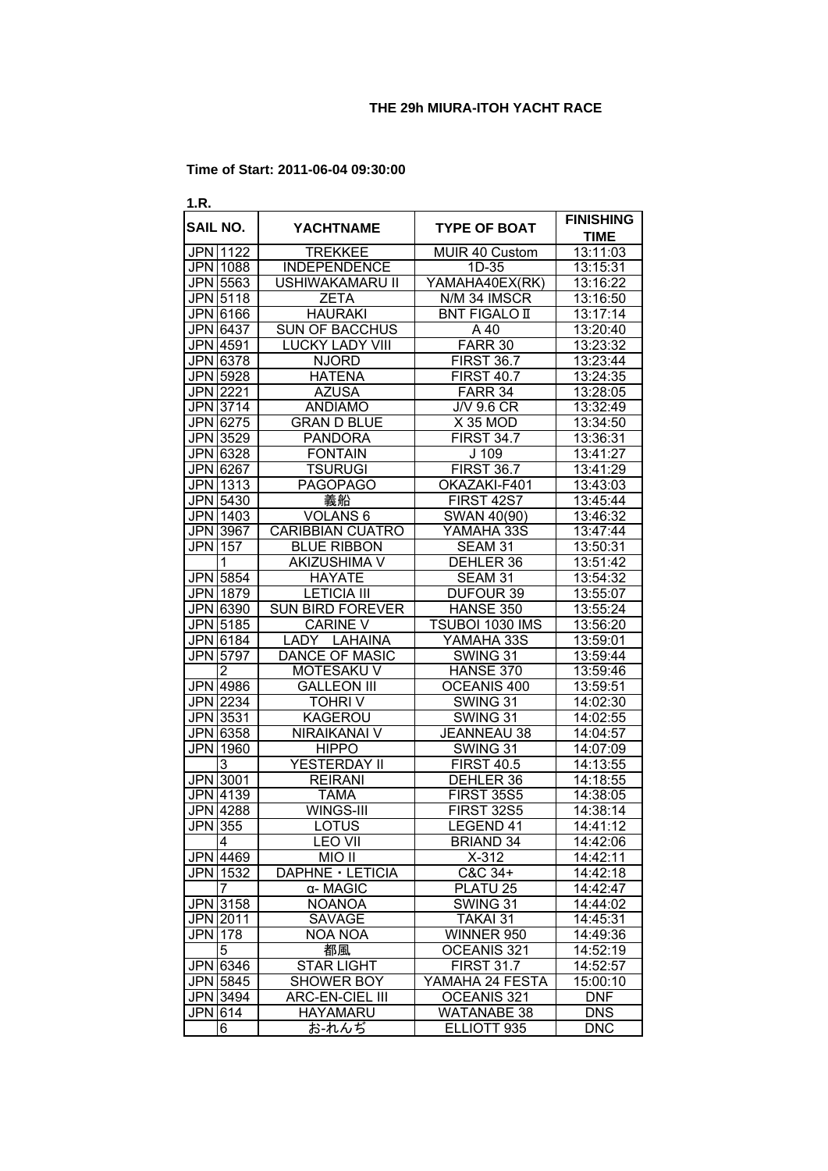| 1.R.           |                      |                         |                        |                                 |
|----------------|----------------------|-------------------------|------------------------|---------------------------------|
|                | <b>SAIL NO.</b>      | <b>YACHTNAME</b>        | <b>TYPE OF BOAT</b>    | <b>FINISHING</b><br><b>TIME</b> |
|                | JPN 1122             | <b>TREKKEE</b>          | MUIR 40 Custom         | 13:11:03                        |
|                | JPN 1088             | <b>INDEPENDENCE</b>     | $1D-35$                | 13:15:31                        |
|                | JPN 5563             | <b>USHIWAKAMARU II</b>  | YAMAHA40EX(RK)         | 13:16:22                        |
|                | JPN 5118             | <b>ZETA</b>             | N/M 34 IMSCR           | 13:16:50                        |
|                | JPN 6166             | <b>HAURAKI</b>          | <b>BNT FIGALO II</b>   | 13:17:14                        |
|                | JPN 6437             | <b>SUN OF BACCHUS</b>   | A 40                   | 13:20:40                        |
|                | JPN 4591             | LUCKY LADY VIII         | FARR <sub>30</sub>     | 13:23:32                        |
|                | <b>JPN 6378</b>      | <b>NJORD</b>            | <b>FIRST 36.7</b>      | 13:23:44                        |
|                | <b>JPN 5928</b>      | <b>HATENA</b>           | FIRST $40.7$           | 13:24:35                        |
|                | JPN 2221             | <b>AZUSA</b>            | FARR <sub>34</sub>     | 13:28:05                        |
|                | <b>JPN 3714</b>      | <b>ANDIAMO</b>          | $J/\sqrt{9.6}$ CR      | 13:32:49                        |
|                | <b>JPN 6275</b>      | <b>GRAN D BLUE</b>      | X 35 MOD               | 13:34:50                        |
|                | JPN 3529             | <b>PANDORA</b>          | <b>FIRST 34.7</b>      | 13:36:31                        |
|                | JPN 6328             | <b>FONTAIN</b><br>J 109 |                        | 13:41:27                        |
|                | JPN 6267             | <b>TSURUGI</b>          | <b>FIRST 36.7</b>      | 13:41:29                        |
|                | JPN 1313             | <b>PAGOPAGO</b>         |                        |                                 |
|                |                      |                         | OKAZAKI-F401           | 13:43:03                        |
|                | JPN 5430<br>JPN 1403 | 義船                      | FIRST 42S7             | 13:45:44                        |
|                |                      | VOLANS <sub>6</sub>     | SWAN 40(90)            | 13:46:32                        |
|                | JPN 3967             | <b>CARIBBIAN CUATRO</b> | YAMAHA 33S             | 13:47:44                        |
| <b>JPN</b> 157 |                      | <b>BLUE RIBBON</b>      | SEAM 31                | 13:50:31                        |
|                | 1                    | AKIZUSHIMA V            | DEHLER 36              | 13:51:42                        |
|                | JPN 5854             | <b>HAYATE</b>           | SEAM 31                | 13:54:32                        |
|                | JPN 1879             | <b>LETICIA III</b>      | DUFOUR 39              | 13:55:07                        |
|                | JPN 6390             | <b>SUN BIRD FOREVER</b> | HANSE 350              | 13:55:24                        |
|                | <b>JPN 5185</b>      | <b>CARINE V</b>         | TSUBOI 1030 IMS        | 13:56:20                        |
|                | JPN 6184             | LADY LAHAINA            | YAMAHA 33S             | 13:59:01                        |
|                | JPN 5797             | <b>DANCE OF MASIC</b>   | SWING 31               | 13:59:44                        |
|                | $\overline{2}$       | MOTESAKU V              | HANSE 370              | 13:59:46                        |
|                | JPN 4986             | <b>GALLEON III</b>      | OCEANIS 400            | 13:59:51                        |
|                | JPN 2234             | <b>TOHRIV</b>           | SWING 31               | 14:02:30                        |
|                | JPN 3531             | KAGEROU                 | SWING 31               | 14:02:55                        |
|                | JPN 6358             | NIRAIKANAI V            | <b>JEANNEAU 38</b>     | 14:04:57                        |
|                | JPN 1960             | <b>HIPPO</b>            | SWING 31               | 14:07:09                        |
|                | 3                    | YESTERDAY II            | <b>FIRST 40.5</b>      | 14:13:55                        |
|                | <b>JPN</b> 3001      | <b>REIRANI</b>          | DEHLER <sub>36</sub>   | 14:18:55                        |
|                | JPN 4139             | <b>TAMA</b>             | <b>FIRST 35S5</b>      | 14:38:05                        |
|                | <b>JPN 4288</b>      | WINGS-III               | <b>FIRST 32S5</b>      | 14:38:14                        |
| <b>JPN 355</b> |                      | LOTUS                   | LEGEND 41              | 14:41:12                        |
|                | 4                    | <b>LEO VII</b>          | <b>BRIAND 34</b>       | 14:42:06                        |
|                | JPN 4469             | MIO II                  | $X-312$                | 14:42:11                        |
|                | JPN 1532             | DAPHNE · LETICIA        | C&C 34+                | 14:42:18                        |
|                | 7                    | α- MAGIC                | PLATU 25               | 14:42:47                        |
|                | JPN 3158             | <b>NOANOA</b>           | SWING 31               | 14:44:02                        |
|                | JPN 2011             | SAVAGE                  | TAKAI 31               | 14:45:31                        |
| JPN 178        |                      | NOA NOA                 | WINNER 950             | 14:49:36                        |
|                | 5                    | 都風                      | OCEANIS 321            | 14:52:19                        |
|                | JPN 6346             | <b>STAR LIGHT</b>       | <b>FIRST 31.7</b>      | 14:52:57                        |
|                | JPN 5845             |                         | YAMAHA 24 FESTA        | 15:00:10                        |
|                | JPN 3494             | SHOWER BOY              | OCEANIS <sub>321</sub> | <b>DNF</b>                      |
|                |                      | ARC-EN-CIEL III         |                        |                                 |
| JPN 614        |                      | HAYAMARU                | <b>WATANABE 38</b>     | <b>DNS</b>                      |
|                | 6                    | お-れんぢ                   | ELLIOTT 935            | <b>DNC</b>                      |

#### **Time of Start: 2011-06-04 09:30:00**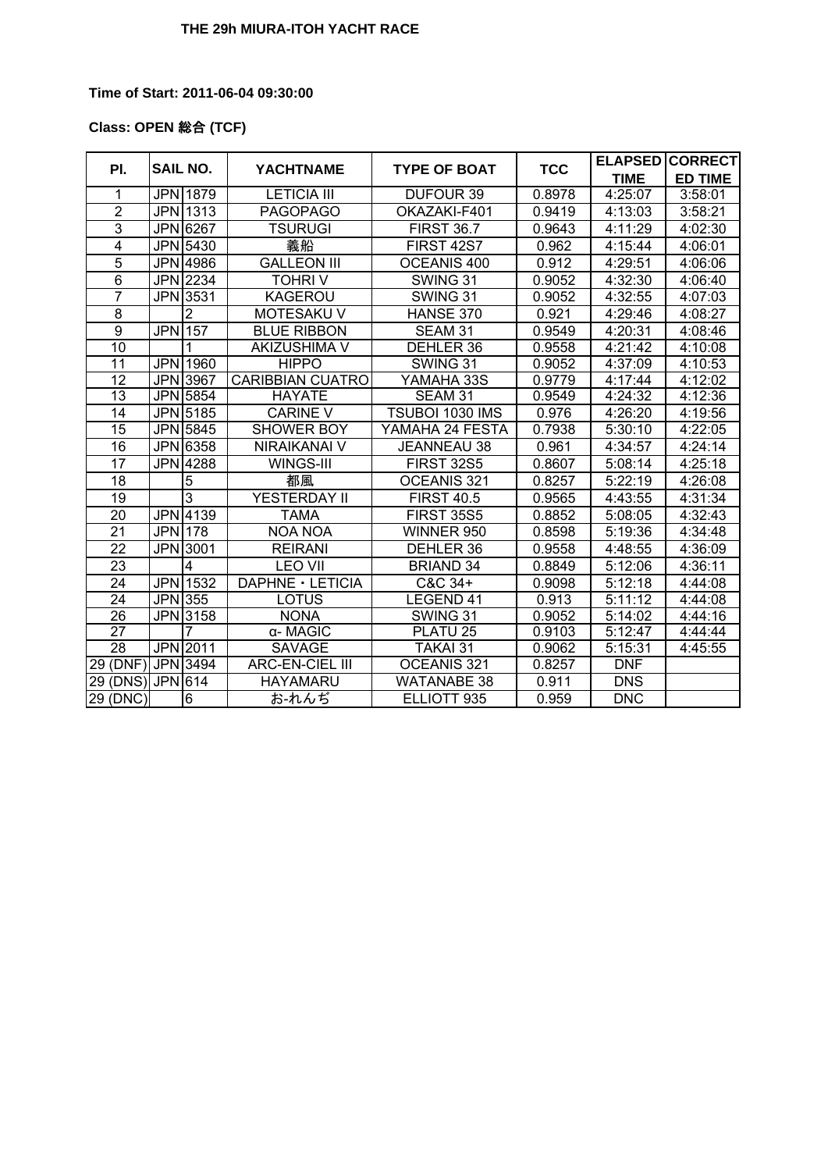### **Time of Start: 2011-06-04 09:30:00**

## **Class: OPEN** 総合 **(TCF)**

|                   | <b>SAIL NO.</b><br>PI. |                 | <b>YACHTNAME</b>        | <b>TYPE OF BOAT</b> | <b>TCC</b> |             | <b>ELAPSED CORRECT</b> |
|-------------------|------------------------|-----------------|-------------------------|---------------------|------------|-------------|------------------------|
|                   |                        |                 |                         |                     |            | <b>TIME</b> | <b>ED TIME</b>         |
| 1                 |                        | JPN 1879        | <b>LETICIA III</b>      | <b>DUFOUR 39</b>    | 0.8978     | 4:25:07     | 3:58:01                |
| $\overline{2}$    |                        | JPN 1313        | <b>PAGOPAGO</b>         | OKAZAKI-F401        | 0.9419     | 4:13:03     | 3:58:21                |
| 3                 |                        | JPN 6267        | <b>TSURUGI</b>          | <b>FIRST 36.7</b>   | 0.9643     | 4:11:29     | 4:02:30                |
| $\overline{4}$    |                        | JPN 5430        | 義船                      | FIRST 42S7          | 0.962      | 4:15:44     | 4:06:01                |
| $\overline{5}$    |                        | JPN 4986        | <b>GALLEON III</b>      | OCEANIS 400         | 0.912      | 4:29:51     | 4:06:06                |
| $6\phantom{1}$    |                        | JPN 2234        | <b>TOHRIV</b>           | SWING 31            | 0.9052     | 4:32:30     | 4:06:40                |
| $\overline{7}$    |                        | JPN 3531        | KAGEROU                 | SWING 31            | 0.9052     | 4:32:55     | 4:07:03                |
| 8                 |                        | 2               | MOTESAKU V              | HANSE 370           | 0.921      | 4:29:46     | 4:08:27                |
| 9                 | <b>JPN1157</b>         |                 | <b>BLUE RIBBON</b>      | SEAM 31             | 0.9549     | 4:20:31     | 4:08:46                |
| 10                |                        | 1               | <b>AKIZUSHIMA V</b>     | DEHLER 36           | 0.9558     | 4:21:42     | 4:10:08                |
| 11                |                        | <b>JPN</b> 1960 | <b>HIPPO</b>            | SWING 31            | 0.9052     | 4:37:09     | 4:10:53                |
| $\overline{12}$   |                        | <b>JPN 3967</b> | <b>CARIBBIAN CUATRO</b> | YAMAHA 33S          | 0.9779     | 4:17:44     | 4:12:02                |
| $\overline{13}$   |                        | <b>JPN</b> 5854 | <b>HAYATE</b>           | SEAM 31             | 0.9549     | 4:24:32     | 4:12:36                |
| 14                |                        | JPN 5185        | <b>CARINE V</b>         | TSUBOI 1030 IMS     | 0.976      | 4:26:20     | 4:19:56                |
| 15                |                        | JPN 5845        | SHOWER BOY              | YAMAHA 24 FESTA     | 0.7938     | 5:30:10     | 4:22:05                |
| 16                |                        | JPN 6358        | NIRAIKANAI V            | JEANNEAU 38         | 0.961      | 4:34:57     | 4:24:14                |
| $\overline{17}$   |                        | JPN 4288        | WINGS-III               | <b>FIRST 32S5</b>   | 0.8607     | 5:08:14     | 4:25:18                |
| 18                |                        | 5               | 都風                      | OCEANIS 321         | 0.8257     | 5:22:19     | 4:26:08                |
| 19                |                        | 3               | YESTERDAY II            | <b>FIRST 40.5</b>   | 0.9565     | 4:43:55     | 4:31:34                |
| 20                |                        | JPN 4139        | <b>TAMA</b>             | <b>FIRST 35S5</b>   | 0.8852     | 5:08:05     | 4:32:43                |
| 21                | <b>JPN1178</b>         |                 | <b>NOA NOA</b>          | WINNER 950          | 0.8598     | 5:19:36     | 4:34:48                |
| 22                |                        | JPN 3001        | <b>REIRANI</b>          | DEHLER 36           | 0.9558     | 4:48:55     | 4:36:09                |
| 23                |                        | 4               | <b>LEO VII</b>          | <b>BRIAND 34</b>    | 0.8849     | 5:12:06     | 4:36:11                |
| 24                |                        | JPN 1532        | DAPHNE · LETICIA        | C&C 34+             | 0.9098     | 5:12:18     | 4:44:08                |
| $\overline{24}$   | JPN 355                |                 | LOTUS                   | LEGEND 41           | 0.913      | 5:11:12     | 4:44:08                |
| 26                |                        | JPN 3158        | <b>NONA</b>             | SWING 31            | 0.9052     | 5:14:02     | 4:44:16                |
| 27                |                        | 7               | α- MAGIC                | PLATU <sub>25</sub> | 0.9103     | 5:12:47     | 4:44:44                |
| 28                |                        | JPN 2011        | <b>SAVAGE</b>           | <b>TAKAI 31</b>     | 0.9062     | 5:15:31     | 4:45:55                |
| 29 (DNF) JPN 3494 |                        |                 | <b>ARC-EN-CIEL III</b>  | OCEANIS 321         | 0.8257     | <b>DNF</b>  |                        |
| 29 (DNS) JPN 614  |                        |                 | <b>HAYAMARU</b>         | <b>WATANABE 38</b>  | 0.911      | <b>DNS</b>  |                        |
| 29 (DNC)          |                        | 6               | お‐れんぢ                   | ELLIOTT 935         | 0.959      | <b>DNC</b>  |                        |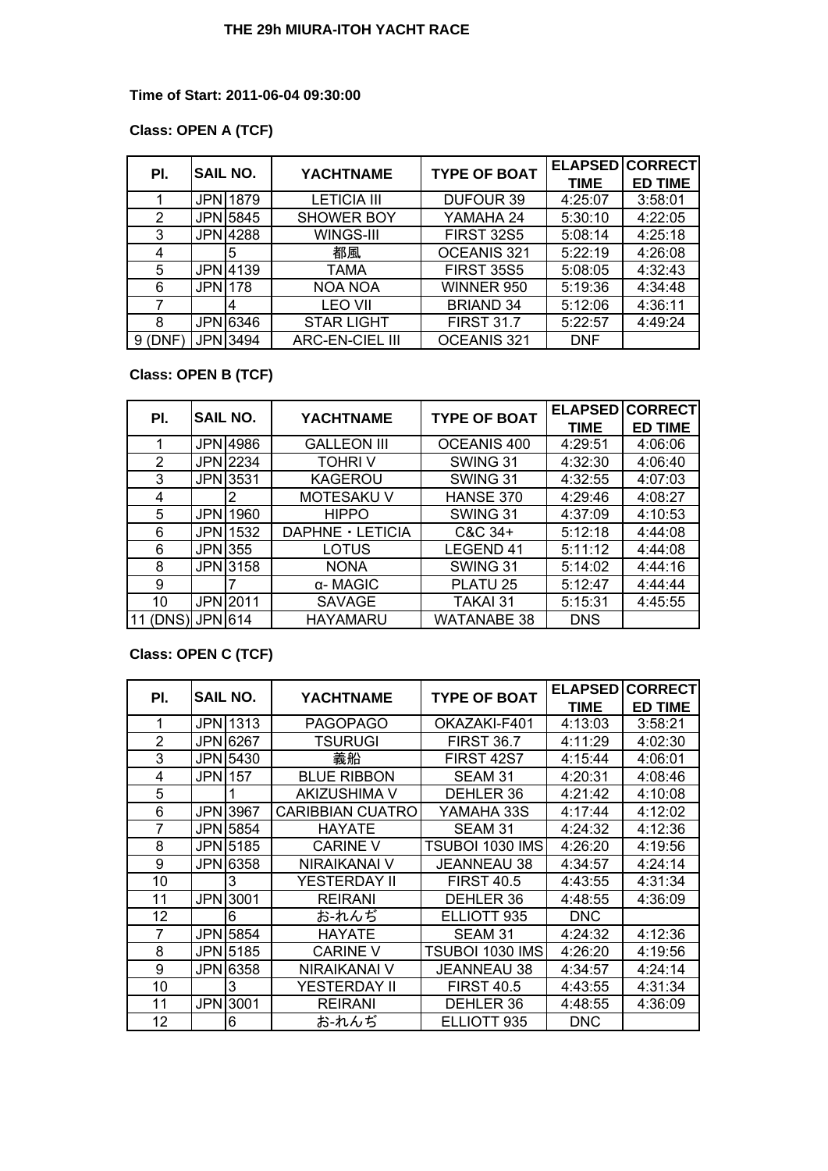### **Time of Start: 2011-06-04 09:30:00**

## **Class: OPEN A (TCF)**

| PI.       |                | <b>SAIL NO.</b> | <b>YACHTNAME</b>       | <b>TYPE OF BOAT</b> |             | <b>ELAPSED CORRECT</b> |
|-----------|----------------|-----------------|------------------------|---------------------|-------------|------------------------|
|           |                |                 |                        |                     | <b>TIME</b> | <b>ED TIME</b>         |
|           |                | <b>JPN11879</b> | <b>LETICIA III</b>     | <b>DUFOUR 39</b>    | 4:25:07     | 3:58:01                |
| 2         |                | JPN 5845        | <b>SHOWER BOY</b>      | YAMAHA 24           | 5:30:10     | 4:22:05                |
| 3         |                | JPN 4288        | WINGS-III              | <b>FIRST 32S5</b>   | 5:08:14     | 4:25:18                |
| 4         |                | 5               | 都風                     | OCEANIS 321         | 5:22:19     | 4:26:08                |
| 5         |                | JPN 4139        | TAMA                   | <b>FIRST 35S5</b>   | 5:08:05     | 4:32:43                |
| 6         | <b>JPN1178</b> |                 | <b>NOA NOA</b>         | WINNER 950          | 5:19:36     | 4:34:48                |
|           |                | 14              | <b>LEO VII</b>         | <b>BRIAND 34</b>    | 5:12:06     | 4:36:11                |
| 8         |                | JPN 6346        | <b>STAR LIGHT</b>      | <b>FIRST 31.7</b>   | 5:22:57     | 4:49:24                |
| $9$ (DNF) |                | JPN 3494        | <b>ARC-EN-CIEL III</b> | OCEANIS 321         | <b>DNF</b>  |                        |

# **Class: OPEN B (TCF)**

| PI.   | <b>SAIL NO.</b> |                 | <b>YACHTNAME</b>   | <b>TYPE OF BOAT</b> | <b>ELAPSED</b> | <b>CORRECT</b> |
|-------|-----------------|-----------------|--------------------|---------------------|----------------|----------------|
|       |                 |                 |                    |                     | <b>TIME</b>    | <b>ED TIME</b> |
|       |                 | JPN 4986        | <b>GALLEON III</b> | OCEANIS 400         | 4:29:51        | 4:06:06        |
| 2     |                 | JPN 2234        | <b>TOHRIV</b>      | SWING 31            | 4:32:30        | 4:06:40        |
| 3     |                 | JPN 3531        | KAGEROU            | SWING 31            | 4:32:55        | 4:07:03        |
| 4     |                 | 2               | <b>MOTESAKUV</b>   | <b>HANSE 370</b>    | 4:29:46        | 4:08:27        |
| 5     |                 | JPN 1960        | <b>HIPPO</b>       | SWING 31            | 4:37:09        | 4:10:53        |
| 6     | <b>JPNI</b>     | 1532            | DAPHNE · LETICIA   | C&C 34+             | 5:12:18        | 4:44:08        |
| 6     |                 | JPN 355         | LOTUS              | <b>LEGEND 41</b>    | 5:11:12        | 4:44:08        |
| 8     |                 | JPN 3158        | <b>NONA</b>        | SWING 31            | 5:14:02        | 4:44:16        |
| 9     |                 |                 | α- MAGIC           | PLATU <sub>25</sub> | 5:12:47        | 4:44:44        |
| 10    |                 | <b>JPN</b> 2011 | <b>SAVAGE</b>      | <b>TAKAI 31</b>     | 5:15:31        | 4:45:55        |
| (DNS) | <b>JPN</b> 614  |                 | <b>HAYAMARU</b>    | <b>WATANABE 38</b>  | <b>DNS</b>     |                |

# **Class: OPEN C (TCF)**

|     | SAIL NO.   |          | <b>YACHTNAME</b>        | <b>TYPE OF BOAT</b> | <b>ELAPSED</b> | <b>CORRECT</b> |
|-----|------------|----------|-------------------------|---------------------|----------------|----------------|
| PI. |            |          |                         |                     | TIME           | <b>ED TIME</b> |
|     |            | JPN 1313 | <b>PAGOPAGO</b>         | OKAZAKI-F401        | 4:13:03        | 3:58:21        |
| 2   |            | JPN 6267 | TSURUGI                 | <b>FIRST 36.7</b>   | 4:11:29        | 4:02:30        |
| 3   |            | JPN 5430 | 義船                      | FIRST 42S7          | 4:15:44        | 4:06:01        |
| 4   | JPN 157    |          | <b>BLUE RIBBON</b>      | SEAM 31             | 4:20:31        | 4:08:46        |
| 5   |            |          | <b>AKIZUSHIMA V</b>     | DEHLER 36           | 4:21:42        | 4:10:08        |
| 6   |            | JPN 3967 | <b>CARIBBIAN CUATRO</b> | YAMAHA 33S          | 4:17:44        | 4:12:02        |
| 7   |            | JPN 5854 | <b>HAYATE</b>           | SEAM 31             | 4:24:32        | 4:12:36        |
| 8   |            | JPN 5185 | <b>CARINE V</b>         | TSUBOI 1030 IMS     | 4:26:20        | 4:19:56        |
| 9   |            | JPN 6358 | <b>NIRAIKANAI V</b>     | <b>JEANNEAU 38</b>  | 4:34:57        | 4:24:14        |
| 10  |            | 3        | YESTERDAY II            | <b>FIRST 40.5</b>   | 4:43:55        | 4:31:34        |
| 11  | <b>JPN</b> | 3001     | <b>REIRANI</b>          | DEHLER 36           | 4:48:55        | 4:36:09        |
| 12  |            | 6        | お-れんぢ                   | ELLIOTT 935         | <b>DNC</b>     |                |
| 7   |            | JPN 5854 | <b>HAYATE</b>           | SEAM 31             | 4:24:32        | 4:12:36        |
| 8   |            | JPN 5185 | <b>CARINE V</b>         | TSUBOI 1030 IMS     | 4:26:20        | 4:19:56        |
| 9   |            | JPN 6358 | NIRAIKANAI V            | <b>JEANNEAU 38</b>  | 4:34:57        | 4:24:14        |
| 10  |            | 3        | YESTERDAY II            | <b>FIRST 40.5</b>   | 4:43:55        | 4:31:34        |
| 11  | <b>JPN</b> | 13001    | <b>REIRANI</b>          | DEHLER 36           | 4:48:55        | 4:36:09        |
| 12  |            | 6        | お-れんぢ                   | ELLIOTT 935         | DNC            |                |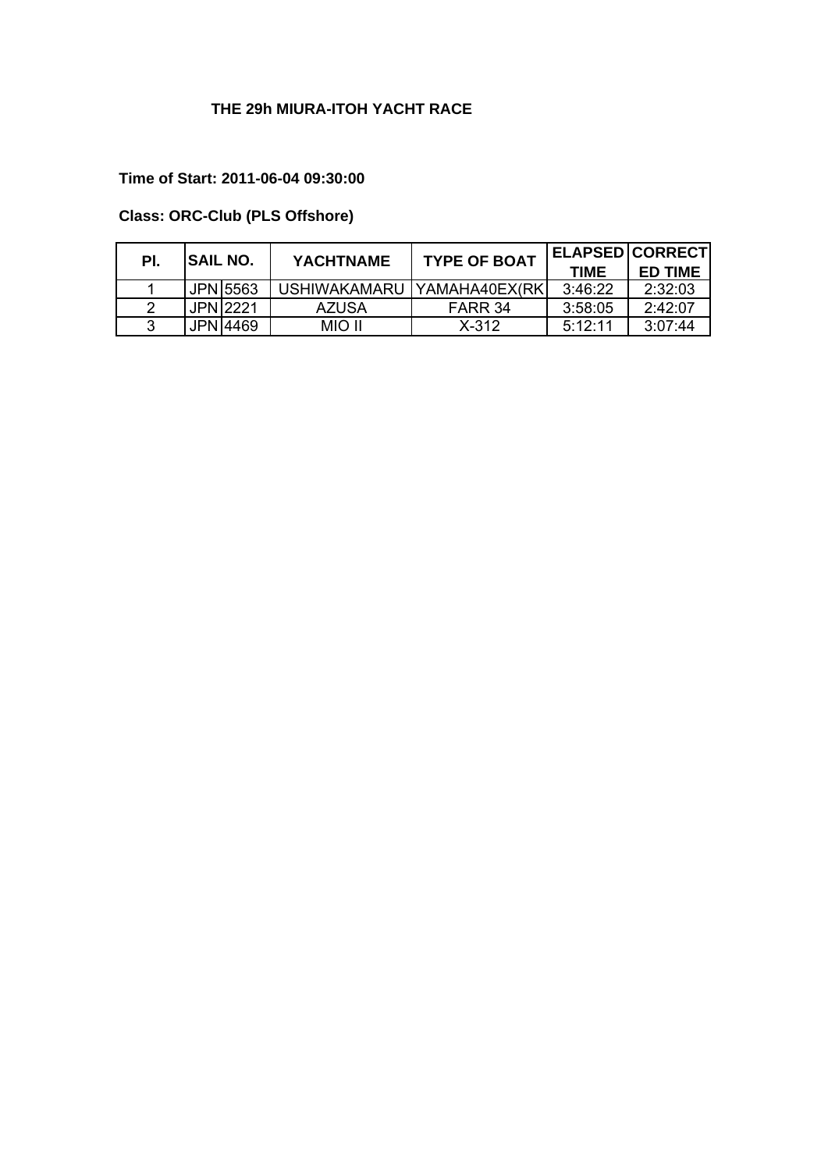## **Time of Start: 2011-06-04 09:30:00**

# **Class: ORC-Club (PLS Offshore)**

| PI. | <b>SAIL NO.</b> | <b>YACHTNAME</b> | <b>TYPE OF BOAT</b>           |             | <b>ELAPSEDICORRECTI</b> |
|-----|-----------------|------------------|-------------------------------|-------------|-------------------------|
|     |                 |                  |                               | <b>TIME</b> | <b>ED TIME</b>          |
|     | JPN 5563        |                  | USHIWAKAMARU   YAMAHA40EX(RK) | 3:46:22     | 2:32:03                 |
|     | <b>JPN12221</b> | AZUSA            | FARR 34                       | 3:58:05     | 2.42.07                 |
|     | JPN 14469       | MIO II           | $X - 312$                     | 5:12:11     | 3:07:44                 |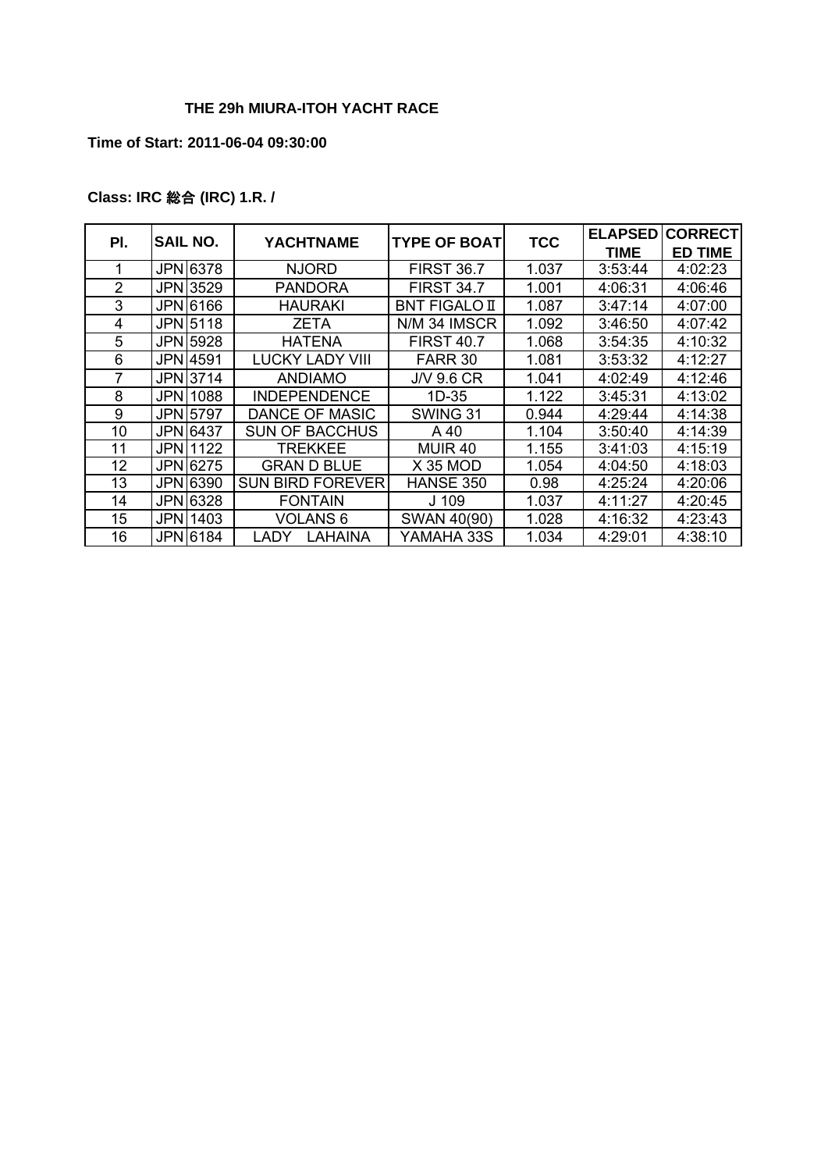### **Time of Start: 2011-06-04 09:30:00**

# **Class: IRC** 総合 **(IRC) 1.R. /**

| PI. | SAIL NO.        | YACHTNAME              | <b>TYPE OF BOAT</b> | <b>ELAPSED</b><br><b>CORRECT</b><br><b>TCC</b> |         |                |  |
|-----|-----------------|------------------------|---------------------|------------------------------------------------|---------|----------------|--|
|     |                 |                        |                     |                                                | TIME    | <b>ED TIME</b> |  |
|     | <b>JPN</b> 6378 | <b>NJORD</b>           | <b>FIRST 36.7</b>   | 1.037                                          | 3:53:44 | 4:02:23        |  |
| 2   | JPN 3529        | PANDORA                | <b>FIRST 34.7</b>   | 1.001                                          | 4:06:31 | 4:06:46        |  |
| 3   | JPN 6166        | <b>HAURAKI</b>         | BNT FIGALO II       | 1.087                                          | 3:47:14 | 4:07:00        |  |
| 4   | JPN 5118        | ZETA                   | N/M 34 IMSCR        | 1.092                                          | 3:46:50 | 4:07:42        |  |
| 5   | JPN 5928        | <b>HATENA</b>          | <b>FIRST 40.7</b>   | 1.068                                          | 3:54:35 | 4:10:32        |  |
| 6   | JPN 4591        | <b>LUCKY LADY VIII</b> | FARR 30             | 1.081                                          | 3:53:32 | 4:12:27        |  |
| 7   | JPN 3714        | <b>ANDIAMO</b>         | J/V 9.6 CR          | 1.041                                          | 4:02:49 | 4:12:46        |  |
| 8   | JPNI1088        | <b>INDEPENDENCE</b>    | 1D-35               | 1.122                                          | 3:45:31 | 4:13:02        |  |
| 9   | JPN 5797        | DANCE OF MASIC         | SWING 31            | 0.944                                          | 4:29:44 | 4:14:38        |  |
| 10  | <b>JPN</b> 6437 | <b>SUN OF BACCHUS</b>  | A 40                | 1.104                                          | 3:50:40 | 4:14:39        |  |
| 11  | JPN 1122        | TREKKEE                | MUIR 40             | 1.155                                          | 3:41:03 | 4:15:19        |  |
| 12  | JPN 6275        | <b>GRAN D BLUE</b>     | <b>X 35 MOD</b>     | 1.054                                          | 4:04:50 | 4:18:03        |  |
| 13  | JPN 6390        | SUN BIRD FOREVER       | <b>HANSE 350</b>    | 0.98                                           | 4:25:24 | 4:20:06        |  |
| 14  | JPN 6328        | <b>FONTAIN</b>         | J 109               | 1.037                                          | 4:11:27 | 4:20:45        |  |
| 15  | JPN 1403        | VOLANS 6               | SWAN 40(90)         | 1.028                                          | 4:16:32 | 4:23:43        |  |
| 16  | JPN 6184        | LAHAINA<br>LADY        | YAMAHA 33S          | 1.034                                          | 4:29:01 | 4:38:10        |  |